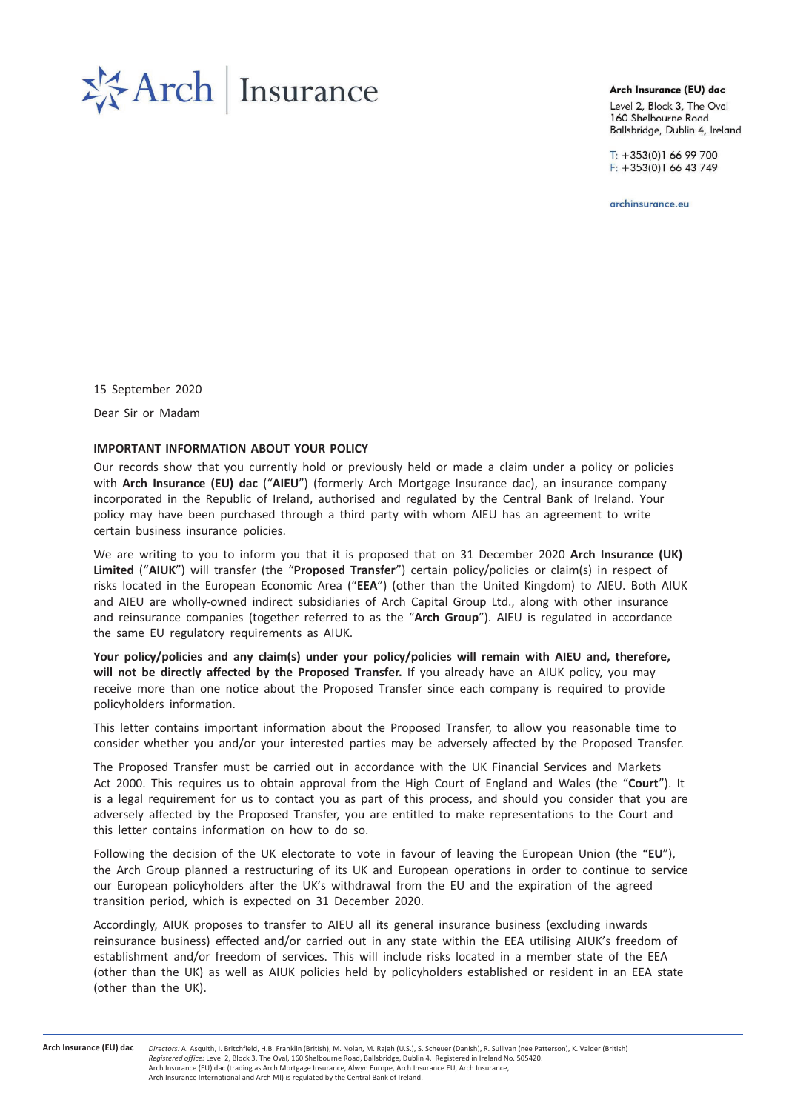# **季Arch Insurance**

Arch Insurance (EU) dac

Level 2, Block 3, The Oval 160 Shelbourne Road Ballsbridge, Dublin 4, Ireland

 $T: +353(0)16699700$  $F: +353(0)16643749$ 

archinsurance.eu

15 September 2020 Dear Sir or Madam

# IMPORTANT INFORMATION ABOUT YOUR POLICY

Our records show that you currently hold or previously held or made a claim under a policy or policies with Arch Insurance (EU) dac ("AIEU") (formerly Arch Mortgage Insurance dac), an insurance company incorporated in the Republic of Ireland, authorised and regulated by the Central Bank of Ireland. Your policy may have been purchased through a third party with whom AIEU has an agreement to write certain business insurance policies.

We are writing to you to inform you that it is proposed that on 31 December 2020 Arch Insurance (UK) Limited ("AIUK") will transfer (the "Proposed Transfer") certain policy/policies or claim(s) in respect of risks located in the European Economic Area ("EEA") (other than the United Kingdom) to AIEU. Both AIUK and AIEU are wholly-owned indirect subsidiaries of Arch Capital Group Ltd., along with other insurance and reinsurance companies (together referred to as the "Arch Group"). AIEU is regulated in accordance the same EU regulatory requirements as AIUK.

Your policy/policies and any claim(s) under your policy/policies will remain with AIEU and, therefore, will not be directly affected by the Proposed Transfer. If you already have an AIUK policy, you may receive more than one notice about the Proposed Transfer since each company is required to provide policyholders information.

This letter contains important information about the Proposed Transfer, to allow you reasonable time to consider whether you and/or your interested parties may be adversely affected by the Proposed Transfer.

The Proposed Transfer must be carried out in accordance with the UK Financial Services and Markets Act 2000. This requires us to obtain approval from the High Court of England and Wales (the "Court"). It is a legal requirement for us to contact you as part of this process, and should you consider that you are adversely affected by the Proposed Transfer, you are entitled to make representations to the Court and this letter contains information on how to do so.

Following the decision of the UK electorate to vote in favour of leaving the European Union (the "EU"), the Arch Group planned a restructuring of its UK and European operations in order to continue to service our European policyholders after the UK's withdrawal from the EU and the expiration of the agreed transition period, which is expected on 31 December 2020.

Accordingly, AIUK proposes to transfer to AIEU all its general insurance business (excluding inwards reinsurance business) effected and/or carried out in any state within the EEA utilising AIUK's freedom of establishment and/or freedom of services. This will include risks located in a member state of the EEA (other than the UK) as well as AIUK policies held by policyholders established or resident in an EEA state (other than the UK).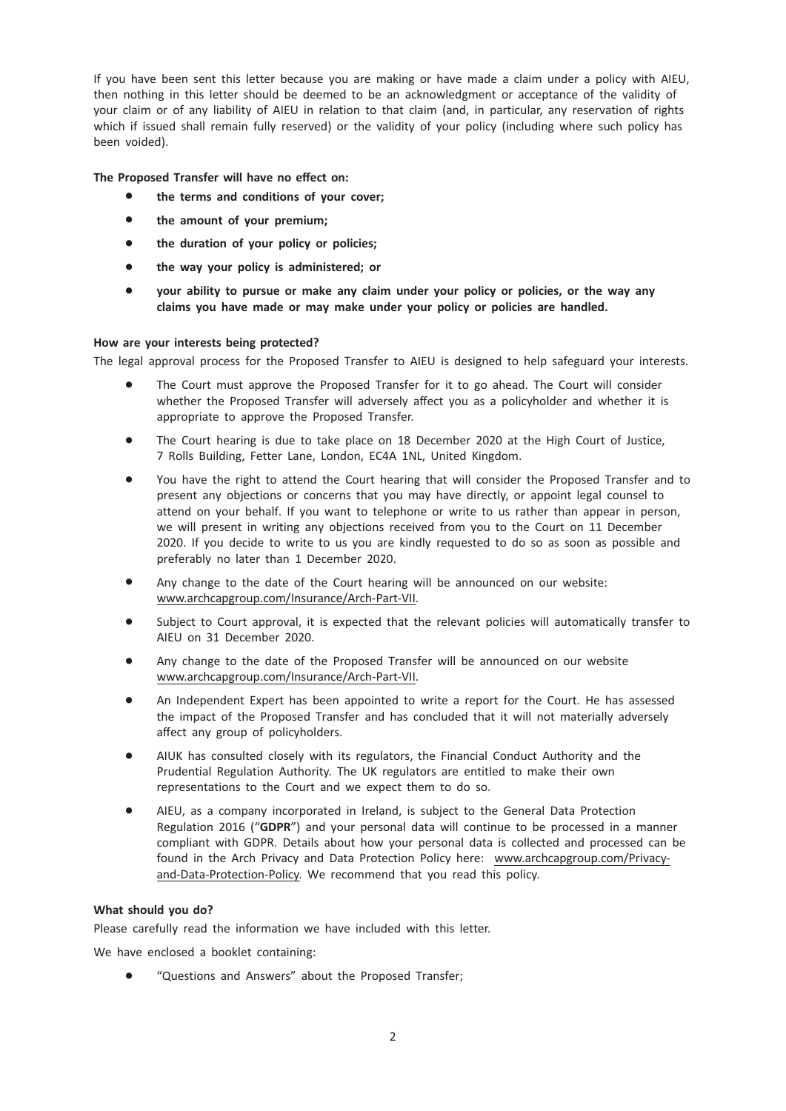If you have been sent this letter because you are making or have made a claim under a policy with AIEU, then nothing in this letter should be deemed to be an acknowledgment or acceptance of the validity of your claim or of any liability of AIEU in relation to that claim (and, in particular, any reservation of rights which if issued shall remain fully reserved) or the validity of your policy (including where such policy has been voided).

# The Proposed Transfer will have no effect on:

- the terms and conditions of your cover;
- the amount of your premium;
- the duration of your policy or policies;
- the way your policy is administered; or
- your ability to pursue or make any claim under your policy or policies, or the way any claims you have made or may make under your policy or policies are handled.

## How are your interests being protected?

The legal approval process for the Proposed Transfer to AIEU is designed to help safeguard your interests.

- The Court must approve the Proposed Transfer for it to go ahead. The Court will consider whether the Proposed Transfer will adversely affect you as a policyholder and whether it is appropriate to approve the Proposed Transfer.
- The Court hearing is due to take place on 18 December 2020 at the High Court of Justice, 7 Rolls Building, Fetter Lane, London, EC4A 1NL, United Kingdom.
- You have the right to attend the Court hearing that will consider the Proposed Transfer and to present any objections or concerns that you may have directly, or appoint legal counsel to attend on your behalf. If you want to telephone or write to us rather than appear in person, we will present in writing any objections received from you to the Court on 11 December 2020. If you decide to write to us you are kindly requested to do so as soon as possible and preferably no later than 1 December 2020.
- Any change to the date of the Court hearing will be announced on our website: www.archcapgroup.com/Insurance/Arch-Part-VII.
- Subject to Court approval, it is expected that the relevant policies will automatically transfer to AIEU on 31 December 2020.
- Any change to the date of the Proposed Transfer will be announced on our website www.archcapgroup.com/Insurance/Arch-Part-VII.
- An Independent Expert has been appointed to write a report for the Court. He has assessed the impact of the Proposed Transfer and has concluded that it will not materially adversely affect any group of policyholders.
- AIUK has consulted closely with its regulators, the Financial Conduct Authority and the Prudential Regulation Authority. The UK regulators are entitled to make their own representations to the Court and we expect them to do so.
- AIEU, as a company incorporated in Ireland, is subject to the General Data Protection Regulation 2016 ("GDPR") and your personal data will continue to be processed in a manner compliant with GDPR. Details about how your personal data is collected and processed can be found in the Arch Privacy and Data Protection Policy here: www.archcapgroup.com/Privacyand-Data-Protection-Policy. We recommend that you read this policy.

## What should you do?

Please carefully read the information we have included with this letter.

We have enclosed a booklet containing:

\* "Questions and Answers" about the Proposed Transfer;